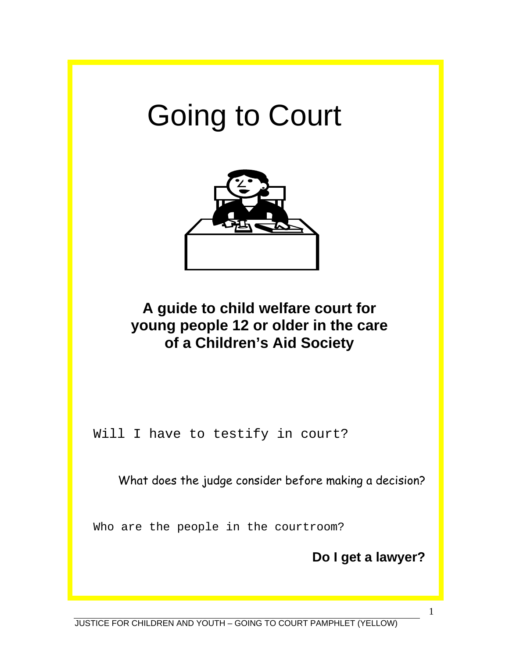# Going to Court



## **A guide to child welfare court for young people 12 or older in the care of a Children's Aid Society**

Will I have to testify in court?

What does the judge consider before making a decision?

Who are the people in the courtroom?

**Do I get a lawyer?**

1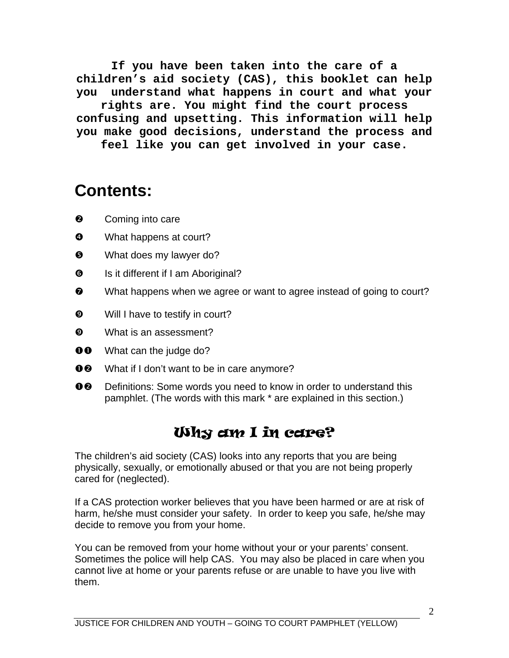**If you have been taken into the care of a children's aid society (CAS), this booklet can help you understand what happens in court and what your** 

**rights are. You might find the court process confusing and upsetting. This information will help you make good decisions, understand the process and** 

**feel like you can get involved in your case.** 

## **Contents:**

- **e** Coming into care
- $\bullet$  What happens at court?
- **9** What does my lawyer do?
- $\bullet$  Is it different if I am Aboriginal?
- $\odot$  What happens when we agree or want to agree instead of going to court?
- $\bullet$  Will I have to testify in court?
- $\bullet$  What is an assessment?
- **00** What can the judge do?
- 00 What if I don't want to be in care anymore?
- **OE** Definitions: Some words you need to know in order to understand this pamphlet. (The words with this mark \* are explained in this section.)

## Why am I in care?

The children's aid society (CAS) looks into any reports that you are being physically, sexually, or emotionally abused or that you are not being properly cared for (neglected).

If a CAS protection worker believes that you have been harmed or are at risk of harm, he/she must consider your safety. In order to keep you safe, he/she may decide to remove you from your home.

You can be removed from your home without your or your parents' consent. Sometimes the police will help CAS. You may also be placed in care when you cannot live at home or your parents refuse or are unable to have you live with them.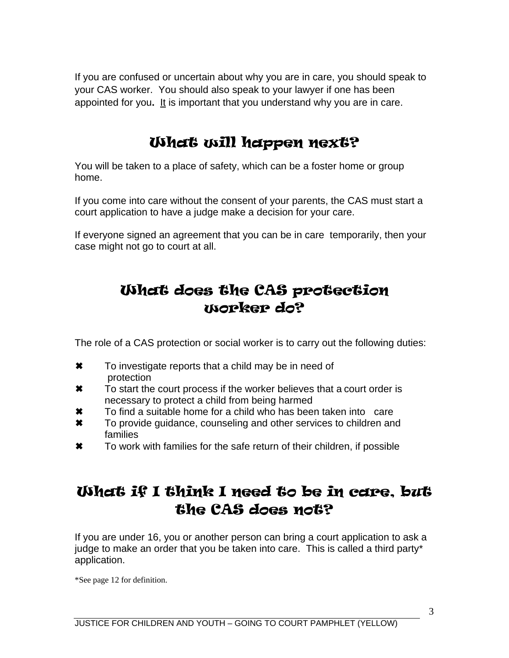If you are confused or uncertain about why you are in care, you should speak to your CAS worker. You should also speak to your lawyer if one has been appointed for you**.** It is important that you understand why you are in care.

## What will happen next?

You will be taken to a place of safety, which can be a foster home or group home.

If you come into care without the consent of your parents, the CAS must start a court application to have a judge make a decision for your care.

If everyone signed an agreement that you can be in care temporarily, then your case might not go to court at all.

## What does the CAS protection worker do?

The role of a CAS protection or social worker is to carry out the following duties:

- **★** To investigate reports that a child may be in need of protection
- **\*** To start the court process if the worker believes that a court order is necessary to protect a child from being harmed
- **\*** To find a suitable home for a child who has been taken into care
- **\*** To provide guidance, counseling and other services to children and families
- **★** To work with families for the safe return of their children, if possible

## What if I think I need to be in care, but the CAS does not?

If you are under 16, you or another person can bring a court application to ask a judge to make an order that you be taken into care. This is called a third party\* application.

\*See page 12 for definition.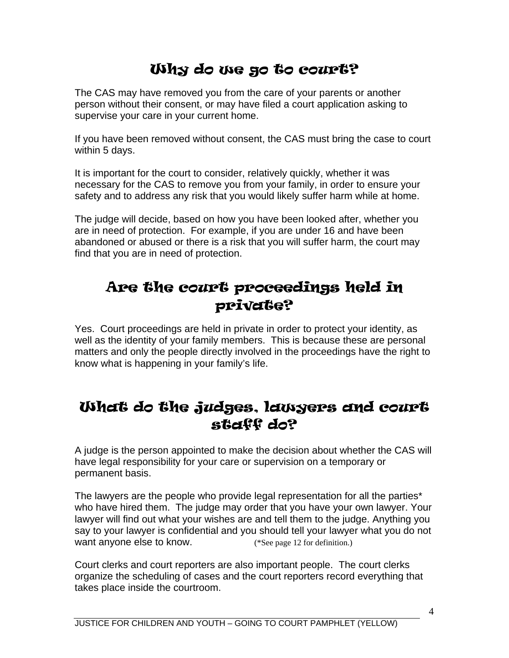## Why do we go to court?

The CAS may have removed you from the care of your parents or another person without their consent, or may have filed a court application asking to supervise your care in your current home.

If you have been removed without consent, the CAS must bring the case to court within 5 days.

It is important for the court to consider, relatively quickly, whether it was necessary for the CAS to remove you from your family, in order to ensure your safety and to address any risk that you would likely suffer harm while at home.

The judge will decide, based on how you have been looked after, whether you are in need of protection. For example, if you are under 16 and have been abandoned or abused or there is a risk that you will suffer harm, the court may find that you are in need of protection.

#### Are the court proceedings held in private?

Yes. Court proceedings are held in private in order to protect your identity, as well as the identity of your family members. This is because these are personal matters and only the people directly involved in the proceedings have the right to know what is happening in your family's life.

#### What do the judges, lawyers and court staff do?

A judge is the person appointed to make the decision about whether the CAS will have legal responsibility for your care or supervision on a temporary or permanent basis.

The lawyers are the people who provide legal representation for all the parties\* who have hired them. The judge may order that you have your own lawyer. Your lawyer will find out what your wishes are and tell them to the judge. Anything you say to your lawyer is confidential and you should tell your lawyer what you do not want anyone else to know. (\*See page 12 for definition.)

Court clerks and court reporters are also important people. The court clerks organize the scheduling of cases and the court reporters record everything that takes place inside the courtroom.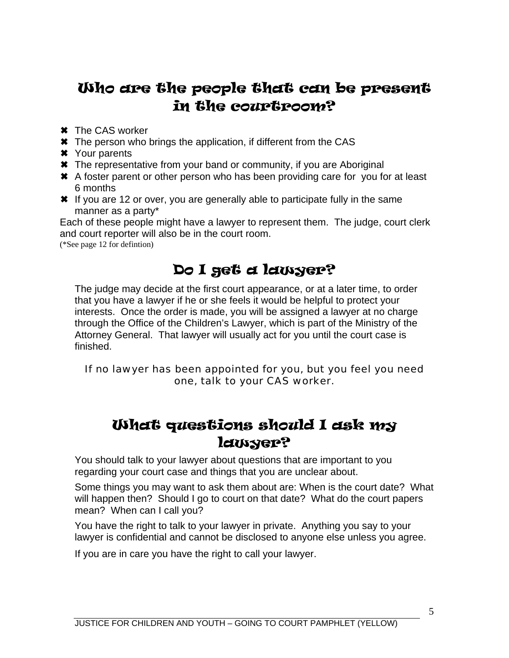## Who are the people that can be present in the courtroom?

- **\*** The CAS worker
- **★** The person who brings the application, if different from the CAS
- µ Your parents
- \* The representative from your band or community, if you are Aboriginal
- **★** A foster parent or other person who has been providing care for you for at least 6 months
- **<sup>★</sup>** If you are 12 or over, you are generally able to participate fully in the same manner as a party\*

Each of these people might have a lawyer to represent them. The judge, court clerk and court reporter will also be in the court room.

(\*See page 12 for defintion)

## Do I get a lawyer?

The judge may decide at the first court appearance, or at a later time, to order that you have a lawyer if he or she feels it would be helpful to protect your interests. Once the order is made, you will be assigned a lawyer at no charge through the Office of the Children's Lawyer, which is part of the Ministry of the Attorney General. That lawyer will usually act for you until the court case is finished.

#### If no lawyer has been appointed for you, but you feel you need one, talk to your CAS worker.

#### What questions should I ask my lawyer?

You should talk to your lawyer about questions that are important to you regarding your court case and things that you are unclear about.

Some things you may want to ask them about are: When is the court date? What will happen then? Should I go to court on that date? What do the court papers mean? When can I call you?

You have the right to talk to your lawyer in private. Anything you say to your lawyer is confidential and cannot be disclosed to anyone else unless you agree.

If you are in care you have the right to call your lawyer.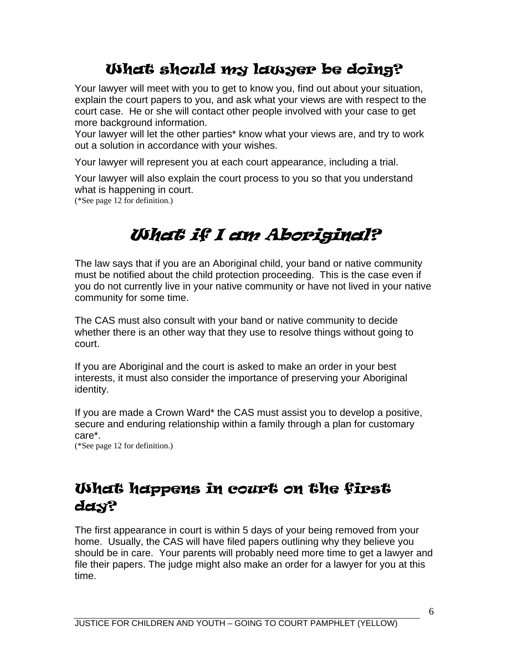## What should my lawyer be doing?

Your lawyer will meet with you to get to know you, find out about your situation, explain the court papers to you, and ask what your views are with respect to the court case. He or she will contact other people involved with your case to get more background information.

Your lawyer will let the other parties\* know what your views are, and try to work out a solution in accordance with your wishes.

Your lawyer will represent you at each court appearance, including a trial.

Your lawyer will also explain the court process to you so that you understand what is happening in court.

(\*See page 12 for definition.)

# What if I am Aboriginal?

The law says that if you are an Aboriginal child, your band or native community must be notified about the child protection proceeding. This is the case even if you do not currently live in your native community or have not lived in your native community for some time.

The CAS must also consult with your band or native community to decide whether there is an other way that they use to resolve things without going to court.

If you are Aboriginal and the court is asked to make an order in your best interests, it must also consider the importance of preserving your Aboriginal identity.

If you are made a Crown Ward\* the CAS must assist you to develop a positive, secure and enduring relationship within a family through a plan for customary care\*.

(\*See page 12 for definition.)

## What happens in court on the first day?

The first appearance in court is within 5 days of your being removed from your home. Usually, the CAS will have filed papers outlining why they believe you should be in care. Your parents will probably need more time to get a lawyer and file their papers. The judge might also make an order for a lawyer for you at this time.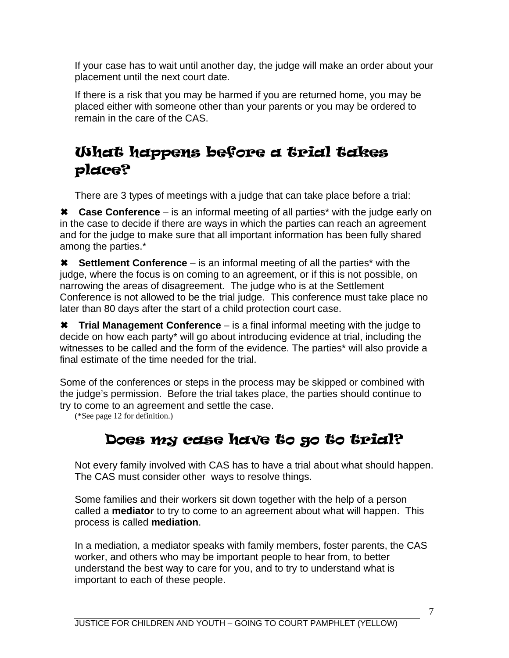If your case has to wait until another day, the judge will make an order about your placement until the next court date.

If there is a risk that you may be harmed if you are returned home, you may be placed either with someone other than your parents or you may be ordered to remain in the care of the CAS.

## What happens before a trial takes place?

There are 3 types of meetings with a judge that can take place before a trial:

**\*** Case Conference – is an informal meeting of all parties<sup>\*</sup> with the judge early on in the case to decide if there are ways in which the parties can reach an agreement and for the judge to make sure that all important information has been fully shared among the parties.\*

**\*** Settlement Conference – is an informal meeting of all the parties<sup>\*</sup> with the judge, where the focus is on coming to an agreement, or if this is not possible, on narrowing the areas of disagreement. The judge who is at the Settlement Conference is not allowed to be the trial judge. This conference must take place no later than 80 days after the start of a child protection court case.

**\*** Trial Management Conference – is a final informal meeting with the judge to decide on how each party\* will go about introducing evidence at trial, including the witnesses to be called and the form of the evidence. The parties\* will also provide a final estimate of the time needed for the trial.

Some of the conferences or steps in the process may be skipped or combined with the judge's permission. Before the trial takes place, the parties should continue to try to come to an agreement and settle the case.

(\*See page 12 for definition.)

## Does my case have to go to trial?

Not every family involved with CAS has to have a trial about what should happen. The CAS must consider other ways to resolve things.

Some families and their workers sit down together with the help of a person called a **mediator** to try to come to an agreement about what will happen. This process is called **mediation**.

In a mediation, a mediator speaks with family members, foster parents, the CAS worker, and others who may be important people to hear from, to better understand the best way to care for you, and to try to understand what is important to each of these people.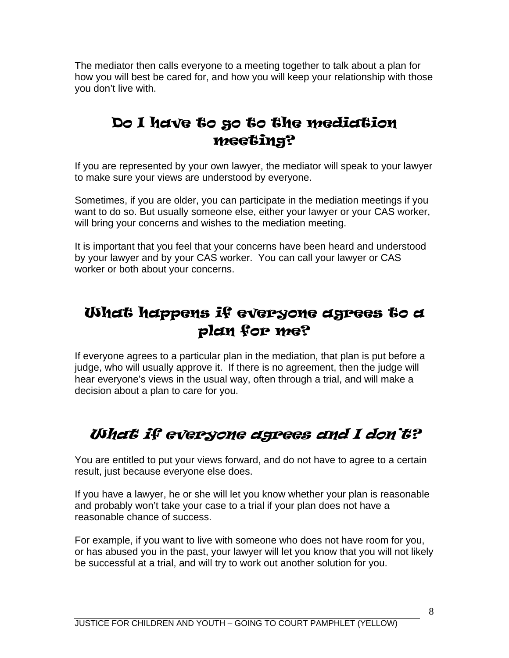The mediator then calls everyone to a meeting together to talk about a plan for how you will best be cared for, and how you will keep your relationship with those you don't live with.

## Do I have to go to the mediation meeting?

If you are represented by your own lawyer, the mediator will speak to your lawyer to make sure your views are understood by everyone.

Sometimes, if you are older, you can participate in the mediation meetings if you want to do so. But usually someone else, either your lawyer or your CAS worker, will bring your concerns and wishes to the mediation meeting.

It is important that you feel that your concerns have been heard and understood by your lawyer and by your CAS worker. You can call your lawyer or CAS worker or both about your concerns.

## What happens if everyone agrees to a plan for me?

If everyone agrees to a particular plan in the mediation, that plan is put before a judge, who will usually approve it. If there is no agreement, then the judge will hear everyone's views in the usual way, often through a trial, and will make a decision about a plan to care for you.

## What if everyone agrees and I don't?

You are entitled to put your views forward, and do not have to agree to a certain result, just because everyone else does.

If you have a lawyer, he or she will let you know whether your plan is reasonable and probably won't take your case to a trial if your plan does not have a reasonable chance of success.

For example, if you want to live with someone who does not have room for you, or has abused you in the past, your lawyer will let you know that you will not likely be successful at a trial, and will try to work out another solution for you.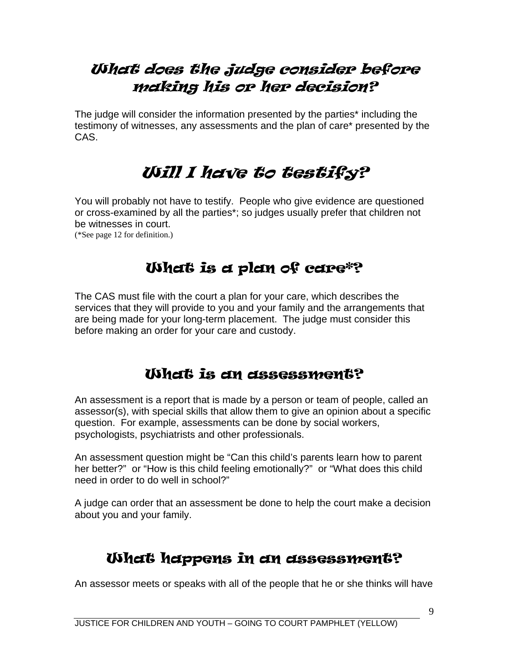## What does the judge consider before making his or her decision?

The judge will consider the information presented by the parties\* including the testimony of witnesses, any assessments and the plan of care\* presented by the CAS.

## Will I have to testify?

You will probably not have to testify. People who give evidence are questioned or cross-examined by all the parties\*; so judges usually prefer that children not be witnesses in court.

(\*See page 12 for definition.)

## What is a plan of care\*?

The CAS must file with the court a plan for your care, which describes the services that they will provide to you and your family and the arrangements that are being made for your long-term placement. The judge must consider this before making an order for your care and custody.

#### What is an assessment?

An assessment is a report that is made by a person or team of people, called an assessor(s), with special skills that allow them to give an opinion about a specific question. For example, assessments can be done by social workers, psychologists, psychiatrists and other professionals.

An assessment question might be "Can this child's parents learn how to parent her better?" or "How is this child feeling emotionally?" or "What does this child need in order to do well in school?"

A judge can order that an assessment be done to help the court make a decision about you and your family.

## What happens in an assessment?

An assessor meets or speaks with all of the people that he or she thinks will have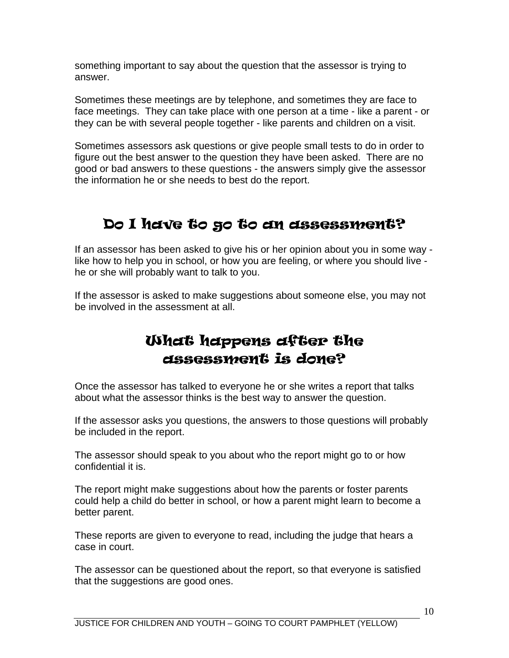something important to say about the question that the assessor is trying to answer.

Sometimes these meetings are by telephone, and sometimes they are face to face meetings. They can take place with one person at a time - like a parent - or they can be with several people together - like parents and children on a visit.

Sometimes assessors ask questions or give people small tests to do in order to figure out the best answer to the question they have been asked. There are no good or bad answers to these questions - the answers simply give the assessor the information he or she needs to best do the report.

## Do I have to go to an assessment?

If an assessor has been asked to give his or her opinion about you in some way like how to help you in school, or how you are feeling, or where you should live he or she will probably want to talk to you.

If the assessor is asked to make suggestions about someone else, you may not be involved in the assessment at all.

#### What happens after the assessment is done?

Once the assessor has talked to everyone he or she writes a report that talks about what the assessor thinks is the best way to answer the question.

If the assessor asks you questions, the answers to those questions will probably be included in the report.

The assessor should speak to you about who the report might go to or how confidential it is.

The report might make suggestions about how the parents or foster parents could help a child do better in school, or how a parent might learn to become a better parent.

These reports are given to everyone to read, including the judge that hears a case in court.

The assessor can be questioned about the report, so that everyone is satisfied that the suggestions are good ones.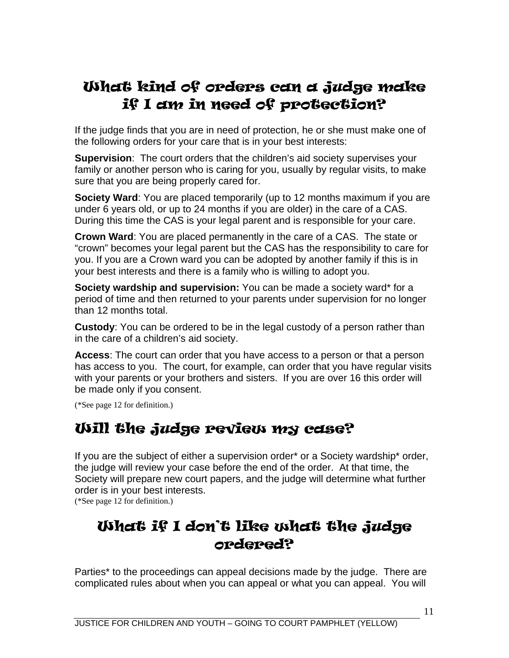## What kind of orders can a judge make if I am in need of protection?

If the judge finds that you are in need of protection, he or she must make one of the following orders for your care that is in your best interests:

**Supervision**: The court orders that the children's aid society supervises your family or another person who is caring for you, usually by regular visits, to make sure that you are being properly cared for.

**Society Ward**: You are placed temporarily (up to 12 months maximum if you are under 6 years old, or up to 24 months if you are older) in the care of a CAS. During this time the CAS is your legal parent and is responsible for your care.

**Crown Ward**: You are placed permanently in the care of a CAS. The state or "crown" becomes your legal parent but the CAS has the responsibility to care for you. If you are a Crown ward you can be adopted by another family if this is in your best interests and there is a family who is willing to adopt you.

**Society wardship and supervision:** You can be made a society ward\* for a period of time and then returned to your parents under supervision for no longer than 12 months total.

**Custody**: You can be ordered to be in the legal custody of a person rather than in the care of a children's aid society.

**Access**: The court can order that you have access to a person or that a person has access to you. The court, for example, can order that you have regular visits with your parents or your brothers and sisters. If you are over 16 this order will be made only if you consent.

(\*See page 12 for definition.)

#### Will the judge review my case?

If you are the subject of either a supervision order\* or a Society wardship\* order, the judge will review your case before the end of the order. At that time, the Society will prepare new court papers, and the judge will determine what further order is in your best interests.

(\*See page 12 for definition.)

## What if I don't like what the judge ordered?

Parties\* to the proceedings can appeal decisions made by the judge. There are complicated rules about when you can appeal or what you can appeal. You will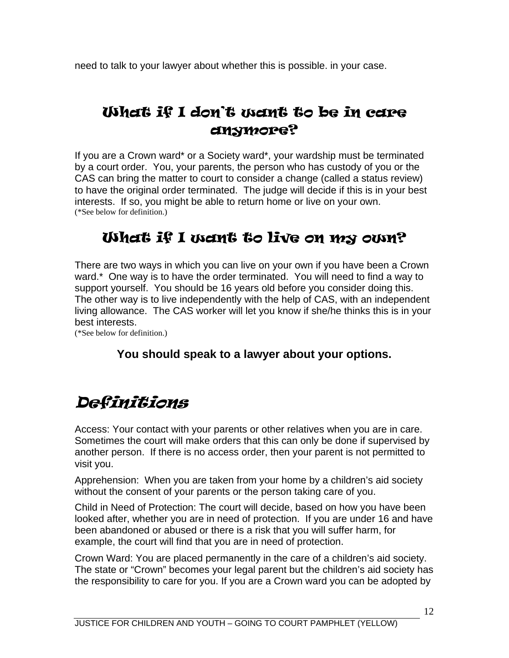need to talk to your lawyer about whether this is possible. in your case.

## What if I don't want to be in care anymore?

If you are a Crown ward\* or a Society ward\*, your wardship must be terminated by a court order. You, your parents, the person who has custody of you or the CAS can bring the matter to court to consider a change (called a status review) to have the original order terminated. The judge will decide if this is in your best interests. If so, you might be able to return home or live on your own. (\*See below for definition.)

## What if I want to live on my own?

There are two ways in which you can live on your own if you have been a Crown ward.\* One way is to have the order terminated. You will need to find a way to support yourself. You should be 16 years old before you consider doing this. The other way is to live independently with the help of CAS, with an independent living allowance. The CAS worker will let you know if she/he thinks this is in your best interests.

(\*See below for definition.)

#### **You should speak to a lawyer about your options.**

## Definitions

Access: Your contact with your parents or other relatives when you are in care. Sometimes the court will make orders that this can only be done if supervised by another person. If there is no access order, then your parent is not permitted to visit you.

Apprehension: When you are taken from your home by a children's aid society without the consent of your parents or the person taking care of you.

Child in Need of Protection: The court will decide, based on how you have been looked after, whether you are in need of protection. If you are under 16 and have been abandoned or abused or there is a risk that you will suffer harm, for example, the court will find that you are in need of protection.

Crown Ward: You are placed permanently in the care of a children's aid society. The state or "Crown" becomes your legal parent but the children's aid society has the responsibility to care for you. If you are a Crown ward you can be adopted by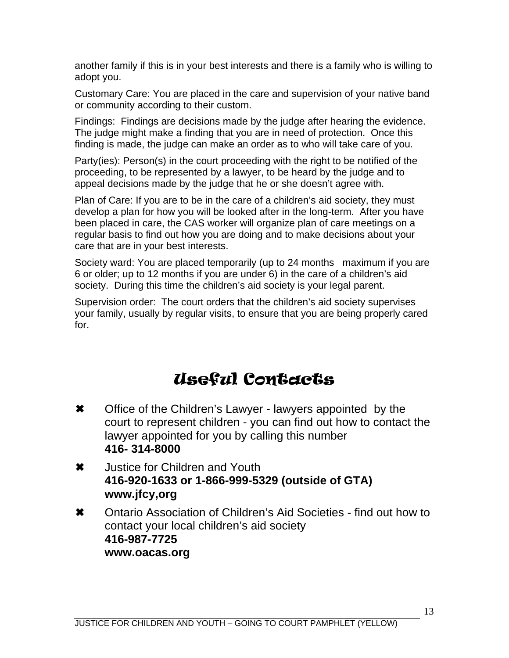another family if this is in your best interests and there is a family who is willing to adopt you.

Customary Care: You are placed in the care and supervision of your native band or community according to their custom.

Findings: Findings are decisions made by the judge after hearing the evidence. The judge might make a finding that you are in need of protection. Once this finding is made, the judge can make an order as to who will take care of you.

Party(ies): Person(s) in the court proceeding with the right to be notified of the proceeding, to be represented by a lawyer, to be heard by the judge and to appeal decisions made by the judge that he or she doesn't agree with.

Plan of Care: If you are to be in the care of a children's aid society, they must develop a plan for how you will be looked after in the long-term. After you have been placed in care, the CAS worker will organize plan of care meetings on a regular basis to find out how you are doing and to make decisions about your care that are in your best interests.

Society ward: You are placed temporarily (up to 24 months maximum if you are 6 or older; up to 12 months if you are under 6) in the care of a children's aid society. During this time the children's aid society is your legal parent.

Supervision order: The court orders that the children's aid society supervises your family, usually by regular visits, to ensure that you are being properly cared for.

## Useful Contacts

- **\*** Office of the Children's Lawyer lawyers appointed by the court to represent children - you can find out how to contact the lawyer appointed for you by calling this number **416- 314-8000**
- **\*** Justice for Children and Youth **416-920-1633 or 1-866-999-5329 (outside of GTA) www.jfcy,org**
- \* Ontario Association of Children's Aid Societies find out how to contact your local children's aid society **416-987-7725 www.oacas.org**